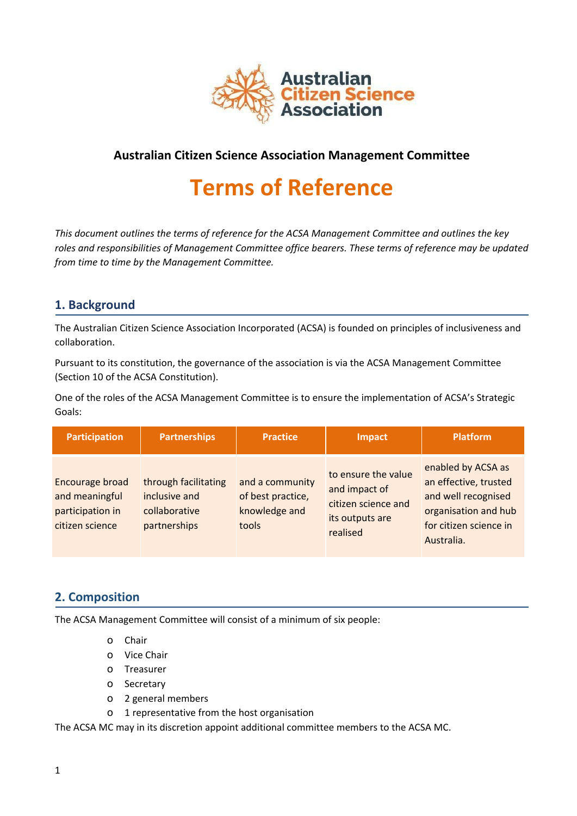

# **Australian Citizen Science Association Management Committee**

# **Terms of Reference**

*This document outlines the terms of reference for the ACSA Management Committee and outlines the key roles and responsibilities of Management Committee office bearers. These terms of reference may be updated from time to time by the Management Committee.*

## **1. Background**

The Australian Citizen Science Association Incorporated (ACSA) is founded on principles of inclusiveness and collaboration.

Pursuant to its constitution, the governance of the association is via the ACSA Management Committee (Section 10 of the ACSA Constitution).

One of the roles of the ACSA Management Committee is to ensure the implementation of ACSA's Strategic Goals:

| <b>Participation</b>                                                     | <b>Partnerships</b>                                                    | <b>Practice</b>                                                | Impact                                                                                     | <b>Platform</b>                                                                                                                    |
|--------------------------------------------------------------------------|------------------------------------------------------------------------|----------------------------------------------------------------|--------------------------------------------------------------------------------------------|------------------------------------------------------------------------------------------------------------------------------------|
| Encourage broad<br>and meaningful<br>participation in<br>citizen science | through facilitating<br>inclusive and<br>collaborative<br>partnerships | and a community<br>of best practice,<br>knowledge and<br>tools | to ensure the value<br>and impact of<br>citizen science and<br>its outputs are<br>realised | enabled by ACSA as<br>an effective, trusted<br>and well recognised<br>organisation and hub<br>for citizen science in<br>Australia. |

## **2. Composition**

The ACSA Management Committee will consist of a minimum of six people:

- o Chair
- o Vice Chair
- o Treasurer
- o Secretary
- o 2 general members
- o 1 representative from the host organisation

The ACSA MC may in its discretion appoint additional committee members to the ACSA MC.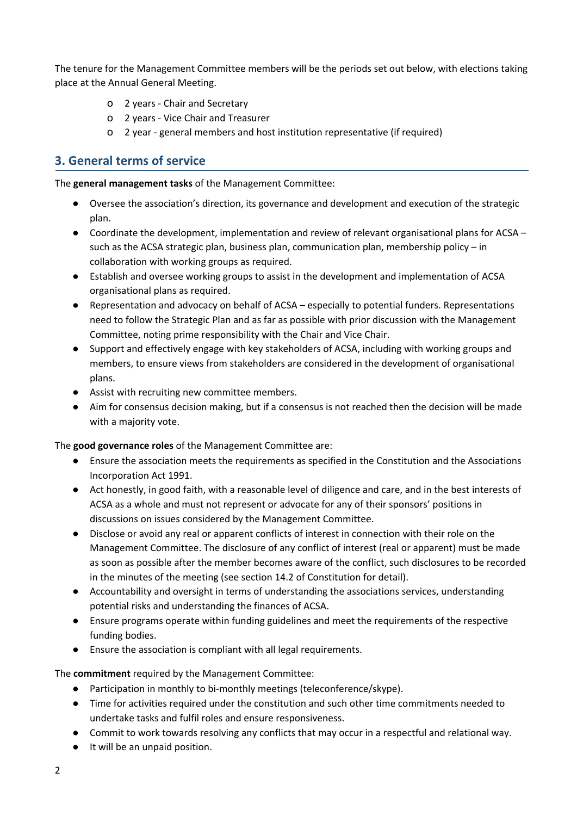The tenure for the Management Committee members will be the periods set out below, with elections taking place at the Annual General Meeting.

- o 2 years Chair and Secretary
- o 2 years Vice Chair and Treasurer
- o 2 year general members and host institution representative (if required)

## **3. General terms of service**

The **general management tasks** of the Management Committee:

- Oversee the association's direction, its governance and development and execution of the strategic plan.
- Coordinate the development, implementation and review of relevant organisational plans for ACSA such as the ACSA strategic plan, business plan, communication plan, membership policy – in collaboration with working groups as required.
- Establish and oversee working groups to assist in the development and implementation of ACSA organisational plans as required.
- Representation and advocacy on behalf of ACSA especially to potential funders. Representations need to follow the Strategic Plan and as far as possible with prior discussion with the Management Committee, noting prime responsibility with the Chair and Vice Chair.
- Support and effectively engage with key stakeholders of ACSA, including with working groups and members, to ensure views from stakeholders are considered in the development of organisational plans.
- Assist with recruiting new committee members.
- Aim for consensus decision making, but if a consensus is not reached then the decision will be made with a majority vote.

The **good governance roles** of the Management Committee are:

- Ensure the association meets the requirements as specified in the Constitution and the Associations Incorporation Act 1991.
- Act honestly, in good faith, with a reasonable level of diligence and care, and in the best interests of ACSA as a whole and must not represent or advocate for any of their sponsors' positions in discussions on issues considered by the Management Committee.
- Disclose or avoid any real or apparent conflicts of interest in connection with their role on the Management Committee. The disclosure of any conflict of interest (real or apparent) must be made as soon as possible after the member becomes aware of the conflict, such disclosures to be recorded in the minutes of the meeting (see section 14.2 of Constitution for detail).
- Accountability and oversight in terms of understanding the associations services, understanding potential risks and understanding the finances of ACSA.
- Ensure programs operate within funding guidelines and meet the requirements of the respective funding bodies.
- Ensure the association is compliant with all legal requirements.

The **commitment** required by the Management Committee:

- Participation in monthly to bi-monthly meetings (teleconference/skype).
- Time for activities required under the constitution and such other time commitments needed to undertake tasks and fulfil roles and ensure responsiveness.
- Commit to work towards resolving any conflicts that may occur in a respectful and relational way.
- It will be an unpaid position.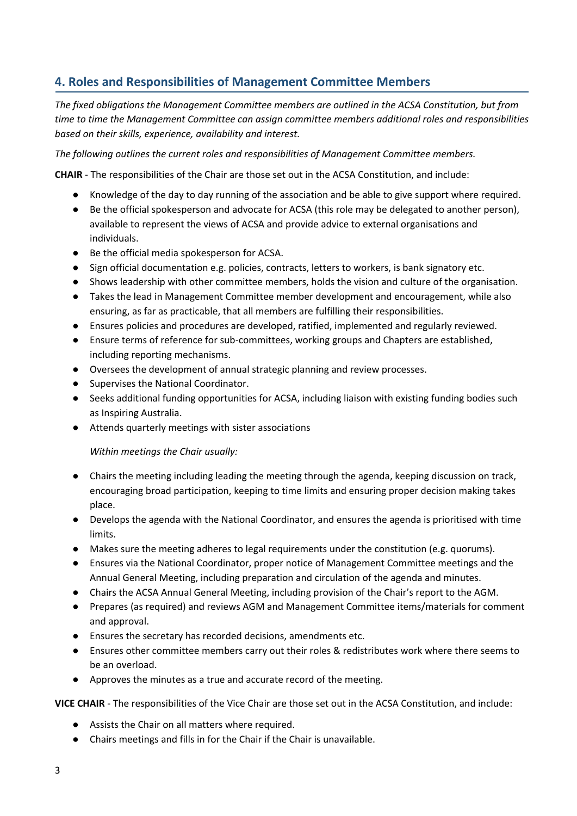# **4. Roles and Responsibilities of Management Committee Members**

*The fixed obligations the Management Committee members are outlined in the ACSA Constitution, but from time to time the Management Committee can assign committee members additional roles and responsibilities based on their skills, experience, availability and interest.*

*The following outlines the current roles and responsibilities of Management Committee members.*

**CHAIR** - The responsibilities of the Chair are those set out in the ACSA Constitution, and include:

- Knowledge of the day to day running of the association and be able to give support where required.
- Be the official spokesperson and advocate for ACSA (this role may be delegated to another person), available to represent the views of ACSA and provide advice to external organisations and individuals.
- Be the official media spokesperson for ACSA.
- Sign official documentation e.g. policies, contracts, letters to workers, is bank signatory etc.
- Shows leadership with other committee members, holds the vision and culture of the organisation.
- Takes the lead in Management Committee member development and encouragement, while also ensuring, as far as practicable, that all members are fulfilling their responsibilities.
- Ensures policies and procedures are developed, ratified, implemented and regularly reviewed.
- Ensure terms of reference for sub-committees, working groups and Chapters are established, including reporting mechanisms.
- Oversees the development of annual strategic planning and review processes.
- Supervises the National Coordinator.
- Seeks additional funding opportunities for ACSA, including liaison with existing funding bodies such as Inspiring Australia.
- Attends quarterly meetings with sister associations

*Within meetings the Chair usually:*

- Chairs the meeting including leading the meeting through the agenda, keeping discussion on track, encouraging broad participation, keeping to time limits and ensuring proper decision making takes place.
- Develops the agenda with the National Coordinator, and ensures the agenda is prioritised with time limits.
- Makes sure the meeting adheres to legal requirements under the constitution (e.g. quorums).
- Ensures via the National Coordinator, proper notice of Management Committee meetings and the Annual General Meeting, including preparation and circulation of the agenda and minutes.
- Chairs the ACSA Annual General Meeting, including provision of the Chair's report to the AGM.
- Prepares (as required) and reviews AGM and Management Committee items/materials for comment and approval.
- Ensures the secretary has recorded decisions, amendments etc.
- Ensures other committee members carry out their roles & redistributes work where there seems to be an overload.
- Approves the minutes as a true and accurate record of the meeting.

**VICE CHAIR** - The responsibilities of the Vice Chair are those set out in the ACSA Constitution, and include:

- Assists the Chair on all matters where required.
- Chairs meetings and fills in for the Chair if the Chair is unavailable.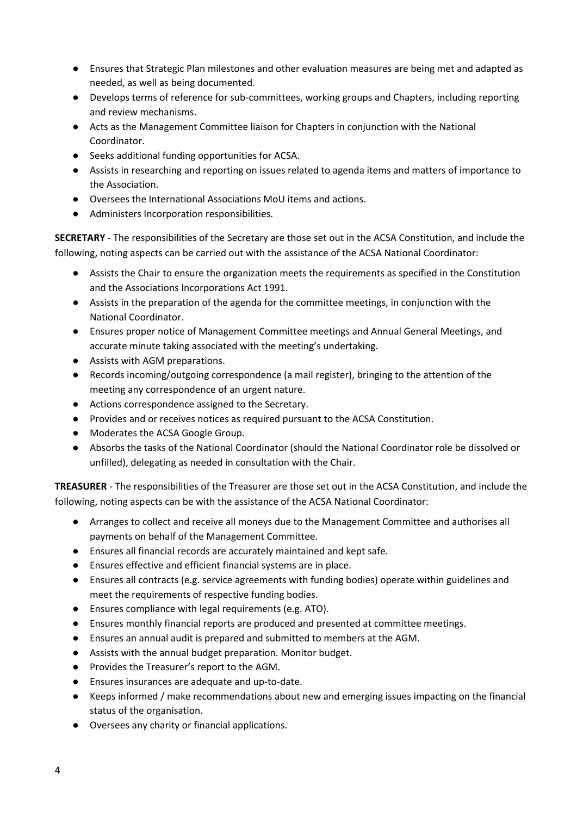- Ensures that Strategic Plan milestones and other evaluation measures are being met and adapted as needed, as well as being documented.
- Develops terms of reference for sub-committees, working groups and Chapters, including reporting and review mechanisms.
- Acts as the Management Committee liaison for Chapters in conjunction with the National Coordinator.
- Seeks additional funding opportunities for ACSA.
- Assists in researching and reporting on issues related to agenda items and matters of importance to the Association.
- Oversees the International Associations MoU items and actions.
- Administers Incorporation responsibilities.

**SECRETARY** - The responsibilities of the Secretary are those set out in the ACSA Constitution, and include the following, noting aspects can be carried out with the assistance of the ACSA National Coordinator:

- Assists the Chair to ensure the organization meets the requirements as specified in the Constitution and the Associations Incorporations Act 1991.
- Assists in the preparation of the agenda for the committee meetings, in conjunction with the National Coordinator.
- Ensures proper notice of Management Committee meetings and Annual General Meetings, and accurate minute taking associated with the meeting's undertaking.
- Assists with AGM preparations.
- Records incoming/outgoing correspondence (a mail register), bringing to the attention of the meeting any correspondence of an urgent nature.
- Actions correspondence assigned to the Secretary.
- Provides and or receives notices as required pursuant to the ACSA Constitution.
- Moderates the ACSA Google Group.
- Absorbs the tasks of the National Coordinator (should the National Coordinator role be dissolved or unfilled), delegating as needed in consultation with the Chair.

**TREASURER** - The responsibilities of the Treasurer are those set out in the ACSA Constitution, and include the following, noting aspects can be with the assistance of the ACSA National Coordinator:

- Arranges to collect and receive all moneys due to the Management Committee and authorises all payments on behalf of the Management Committee.
- Ensures all financial records are accurately maintained and kept safe.
- Ensures effective and efficient financial systems are in place.
- Ensures all contracts (e.g. service agreements with funding bodies) operate within guidelines and meet the requirements of respective funding bodies.
- Ensures compliance with legal requirements (e.g. ATO).
- Ensures monthly financial reports are produced and presented at committee meetings.
- Ensures an annual audit is prepared and submitted to members at the AGM.
- Assists with the annual budget preparation. Monitor budget.
- Provides the Treasurer's report to the AGM.
- Ensures insurances are adequate and up-to-date.
- Keeps informed / make recommendations about new and emerging issues impacting on the financial status of the organisation.
- Oversees any charity or financial applications.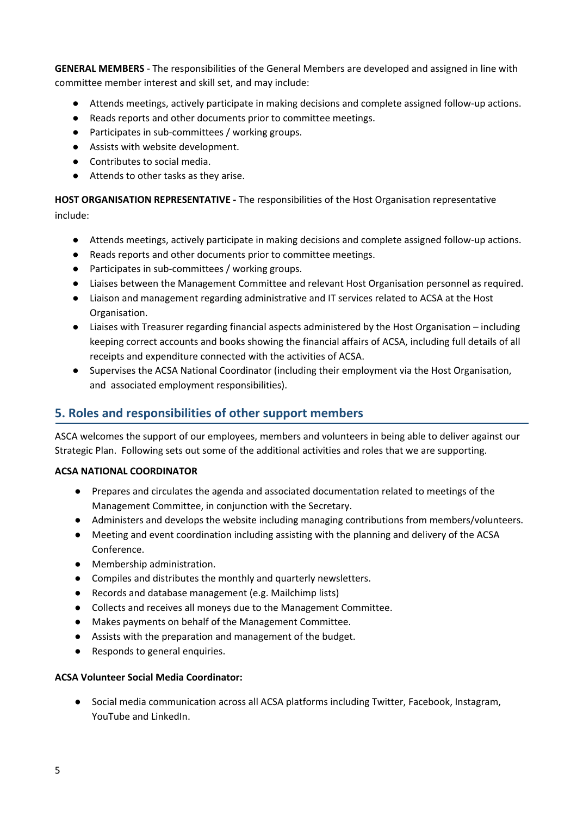**GENERAL MEMBERS** - The responsibilities of the General Members are developed and assigned in line with committee member interest and skill set, and may include:

- Attends meetings, actively participate in making decisions and complete assigned follow-up actions.
- Reads reports and other documents prior to committee meetings.
- Participates in sub-committees / working groups.
- Assists with website development.
- Contributes to social media.
- Attends to other tasks as they arise.

**HOST ORGANISATION REPRESENTATIVE -** The responsibilities of the Host Organisation representative include:

- Attends meetings, actively participate in making decisions and complete assigned follow-up actions.
- Reads reports and other documents prior to committee meetings.
- Participates in sub-committees / working groups.
- Liaises between the Management Committee and relevant Host Organisation personnel as required.
- Liaison and management regarding administrative and IT services related to ACSA at the Host Organisation.
- Liaises with Treasurer regarding financial aspects administered by the Host Organisation including keeping correct accounts and books showing the financial affairs of ACSA, including full details of all receipts and expenditure connected with the activities of ACSA.
- Supervises the ACSA National Coordinator (including their employment via the Host Organisation, and associated employment responsibilities).

# **5. Roles and responsibilities of other support members**

ASCA welcomes the support of our employees, members and volunteers in being able to deliver against our Strategic Plan. Following sets out some of the additional activities and roles that we are supporting.

### **ACSA NATIONAL COORDINATOR**

- Prepares and circulates the agenda and associated documentation related to meetings of the Management Committee, in conjunction with the Secretary.
- Administers and develops the website including managing contributions from members/volunteers.
- Meeting and event coordination including assisting with the planning and delivery of the ACSA Conference.
- Membership administration.
- Compiles and distributes the monthly and quarterly newsletters.
- Records and database management (e.g. Mailchimp lists)
- Collects and receives all moneys due to the Management Committee.
- Makes payments on behalf of the Management Committee.
- Assists with the preparation and management of the budget.
- Responds to general enquiries.

#### **ACSA Volunteer Social Media Coordinator:**

● Social media communication across all ACSA platforms including Twitter, Facebook, Instagram, YouTube and LinkedIn.